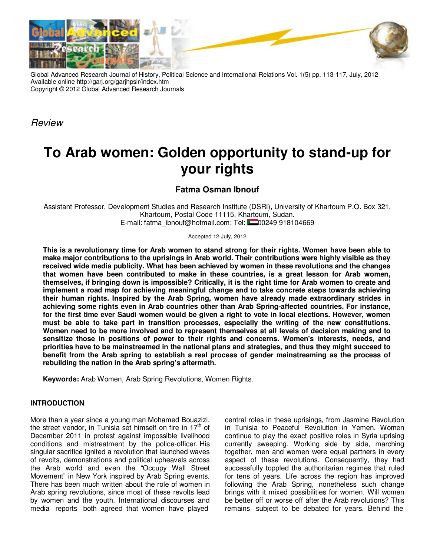

Global Advanced Research Journal of History, Political Science and International Relations Vol. 1(5) pp. 113-117, July, 2012 Available online http://garj.org/garjhpsir/index.htm Copyright © 2012 Global Advanced Research Journals

**Review** 

# **To Arab women: Golden opportunity to stand-up for your rights**

## **Fatma Osman Ibnouf**

Assistant Professor, Development Studies and Research Institute (DSRI), University of Khartoum P.O. Box 321, Khartoum, Postal Code 11115, Khartoum, Sudan. E-mail: fatma\_ibnouf@hotmail.com; Tel: 200249 918104669

#### Accepted 12 July, 2012

**This is a revolutionary time for Arab women to stand strong for their rights. Women have been able to make major contributions to the uprisings in Arab world. Their contributions were highly visible as they received wide media publicity. What has been achieved by women in these revolutions and the changes that women have been contributed to make in these countries, is a great lesson for Arab women, themselves, if bringing down is impossible? Critically, it is the right time for Arab women to create and implement a road map for achieving meaningful change and to take concrete steps towards achieving their human rights. Inspired by the Arab Spring, women have already made extraordinary strides in achieving some rights even in Arab countries other than Arab Spring-affected countries. For instance, for the first time ever Saudi women would be given a right to vote in local elections. However, women must be able to take part in transition processes, especially the writing of the new constitutions. Women need to be more involved and to represent themselves at all levels of decision making and to sensitize those in positions of power to their rights and concerns. Women's interests, needs, and priorities have to be mainstreamed in the national plans and strategies, and thus they might succeed to benefit from the Arab spring to establish a real process of gender mainstreaming as the process of rebuilding the nation in the Arab spring's aftermath.** 

**Keywords:** Arab Women, Arab Spring Revolutions, Women Rights.

## **INTRODUCTION**

More than a year since a young man Mohamed Bouazizi, the street vendor, in Tunisia set himself on fire in  $17<sup>th</sup>$  of December 2011 in protest against impossible livelihood conditions and mistreatment by the police-officer. His singular sacrifice ignited a revolution that launched waves of revolts, demonstrations and political upheavals across the Arab world and even the "Occupy Wall Street Movement" in New York inspired by Arab Spring events. There has been much written about the role of women in Arab spring revolutions, since most of these revolts lead by women and the youth. International discourses and media reports both agreed that women have played central roles in these uprisings, from Jasmine Revolution in Tunisia to Peaceful Revolution in Yemen. Women continue to play the exact positive roles in Syria uprising currently sweeping. Working side by side, marching together, men and women were equal partners in every aspect of these revolutions. Consequently, they had successfully toppled the authoritarian regimes that ruled for tens of years. Life across the region has improved following the Arab Spring, nonetheless such change brings with it mixed possibilities for women. Will women be better off or worse off after the Arab revolutions? This remains subject to be debated for years. Behind the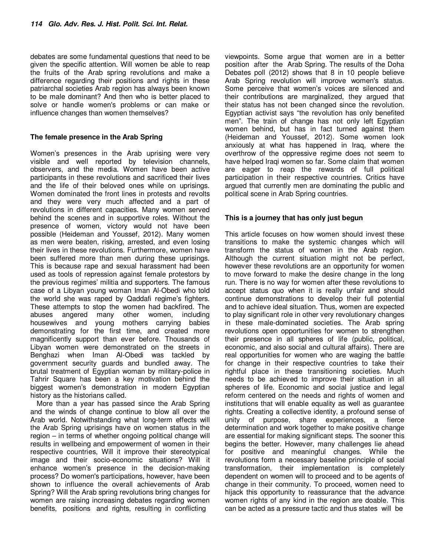debates are some fundamental questions that need to be given the specific attention. Will women be able to reap the fruits of the Arab spring revolutions and make a difference regarding their positions and rights in these patriarchal societies Arab region has always been known to be male dominant? And then who is better placed to solve or handle women's problems or can make or influence changes than women themselves?

### **The female presence in the Arab Spring**

Women's presences in the Arab uprising were very visible and well reported by television channels, observers, and the media. Women have been active participants in these revolutions and sacrificed their lives and the life of their beloved ones while on uprisings. Women dominated the front lines in protests and revolts and they were very much affected and a part of revolutions in different capacities. Many women served behind the scenes and in supportive roles. Without the presence of women, victory would not have been possible (Heideman and Youssef, 2012). Many women as men were beaten, risking, arrested, and even losing their lives in these revolutions. Furthermore, women have been suffered more than men during these uprisings. This is because rape and sexual harassment had been used as tools of repression against female protestors by the previous regimes' militia and supporters. The famous case of a Libyan young woman Iman Al-Obedi who told the world she was raped by Qaddafi regime's fighters. These attempts to stop the women had backfired. The abuses angered many other women, including housewives and young mothers carrying babies demonstrating for the first time, and created more magnificently support than ever before. Thousands of Libyan women were demonstrated on the streets in Benghazi when Iman Al-Obedi was tackled by government security guards and bundled away. The brutal treatment of Egyptian woman by military-police in Tahrir Square has been a key motivation behind the biggest women's demonstration in modern Egyptian history as the historians called.

More than a year has passed since the Arab Spring and the winds of change continue to blow all over the Arab world. Notwithstanding what long-term effects will the Arab Spring uprisings have on women status in the region – in terms of whether ongoing political change will results in wellbeing and empowerment of women in their respective countries, Will it improve their stereotypical image and their socio-economic situations? Will it enhance women's presence in the decision-making process? Do women's participations, however, have been shown to influence the overall achievements of Arab Spring? Will the Arab spring revolutions bring changes for women are raising increasing debates regarding women benefits, positions and rights, resulting in conflicting

viewpoints. Some argue that women are in a better position after the Arab Spring. The results of the Doha Debates poll (2012) shows that 8 in 10 people believe Arab Spring revolution will improve women's status. Some perceive that women's voices are silenced and their contributions are marginalized, they argued that their status has not been changed since the revolution. Egyptian activist says "the revolution has only benefited men". The train of change has not only left Egyptian women behind, but has in fact turned against them (Heideman and Youssef, 2012). Some women look anxiously at what has happened in Iraq, where the overthrow of the oppressive regime does not seem to have helped Iraqi women so far. Some claim that women are eager to reap the rewards of full political participation in their respective countries. Critics have argued that currently men are dominating the public and political scene in Arab Spring countries.

### **This is a journey that has only just begun**

This article focuses on how women should invest these transitions to make the systemic changes which will transform the status of women in the Arab region. Although the current situation might not be perfect, however these revolutions are an opportunity for women to move forward to make the desire change in the long run. There is no way for women after these revolutions to accept status quo when it is really unfair and should continue demonstrations to develop their full potential and to achieve ideal situation. Thus, women are expected to play significant role in other very revolutionary changes in these male-dominated societies. The Arab spring revolutions open opportunities for women to strengthen their presence in all spheres of life (public, political, economic, and also social and cultural affairs). There are real opportunities for women who are waging the battle for change in their respective countries to take their rightful place in these transitioning societies. Much needs to be achieved to improve their situation in all spheres of life. Economic and social justice and legal reform centered on the needs and rights of women and institutions that will enable equality as well as guarantee rights. Creating a collective identity, a profound sense of unity of purpose, share experiences, a fierce determination and work together to make positive change are essential for making significant steps. The sooner this begins the better. However, many challenges lie ahead for positive and meaningful changes. While the revolutions form a necessary baseline principle of social transformation, their implementation is completely dependent on women will to proceed and to be agents of change in their community. To proceed, women need to hijack this opportunity to reassurance that the advance women rights of any kind in the region are doable. This can be acted as a pressure tactic and thus states will be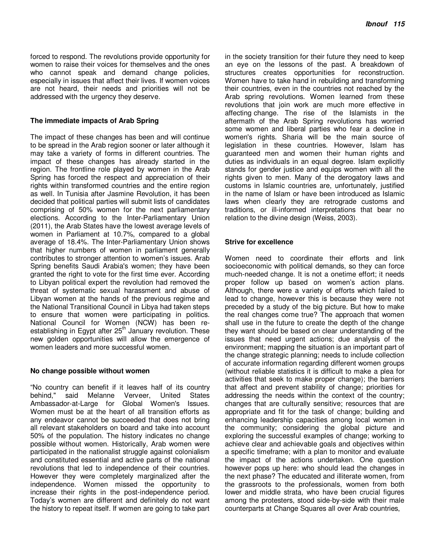forced to respond. The revolutions provide opportunity for women to raise their voices for themselves and the ones who cannot speak and demand change policies, especially in issues that affect their lives. If women voices are not heard, their needs and priorities will not be addressed with the urgency they deserve.

#### **The immediate impacts of Arab Spring**

The impact of these changes has been and will continue to be spread in the Arab region sooner or later although it may take a variety of forms in different countries. The impact of these changes has already started in the region. The frontline role played by women in the Arab Spring has forced the respect and appreciation of their rights within transformed countries and the entire region as well. In Tunisia after Jasmine Revolution, it has been decided that political parties will submit lists of candidates comprising of 50% women for the next parliamentary elections. According to the Inter-Parliamentary Union (2011), the Arab States have the lowest average levels of women in Parliament at 10.7%, compared to a global average of 18.4%. The Inter-Parliamentary Union shows that higher numbers of women in parliament generally contributes to stronger attention to women's issues. Arab Spring benefits Saudi Arabia's women; they have been granted the right to vote for the first time ever. According to Libyan political expert the revolution had removed the threat of systematic sexual harassment and abuse of Libyan women at the hands of the previous regime and the National Transitional Council in Libya had taken steps to ensure that women were participating in politics. National Council for Women (NCW) has been reestablishing in Egypt after  $25<sup>th</sup>$  January revolution. These new golden opportunities will allow the emergence of women leaders and more successful women.

#### **No change possible without women**

"No country can benefit if it leaves half of its country behind," said Melanne Verveer, United States Ambassador-at-Large for Global Women's Issues. Women must be at the heart of all transition efforts as any endeavor cannot be succeeded that does not bring all relevant stakeholders on board and take into account 50% of the population. The history indicates no change possible without women. Historically, Arab women were participated in the nationalist struggle against colonialism and constituted essential and active parts of the national revolutions that led to independence of their countries. However they were completely marginalized after the independence. Women missed the opportunity to increase their rights in the post-independence period. Today's women are different and definitely do not want the history to repeat itself. If women are going to take part in the society transition for their future they need to keep an eye on the lessons of the past. A breakdown of structures creates opportunities for reconstruction. Women have to take hand in rebuilding and transforming their countries, even in the countries not reached by the Arab spring revolutions. Women learned from these revolutions that join work are much more effective in affecting change. The rise of the Islamists in the aftermath of the Arab Spring revolutions has worried some women and liberal parties who fear a decline in women's rights. Sharia will be the main source of legislation in these countries. However, Islam has guaranteed men and women their human rights and duties as individuals in an equal degree. Islam explicitly stands for gender justice and equips women with all the rights given to men. Many of the derogatory laws and customs in Islamic countries are, unfortunately, justified in the name of Islam or have been introduced as Islamic laws when clearly they are retrograde customs and traditions, or ill-informed interpretations that bear no relation to the divine design (Weiss, 2003).

### **Strive for excellence**

Women need to coordinate their efforts and link socioeconomic with political demands, so they can force much-needed change. It is not a onetime effort; it needs proper follow up based on women's action plans. Although, there were a variety of efforts which failed to lead to change, however this is because they were not preceded by a study of the big picture. But how to make the real changes come true? The approach that women shall use in the future to create the depth of the change they want should be based on clear understanding of the issues that need urgent actions; due analysis of the environment; mapping the situation is an important part of the change strategic planning; needs to include collection of accurate information regarding different women groups (without reliable statistics it is difficult to make a plea for activities that seek to make proper change); the barriers that affect and prevent stability of change; priorities for addressing the needs within the context of the country; changes that are culturally sensitive; resources that are appropriate and fit for the task of change; building and enhancing leadership capacities among local women in the community; considering the global picture and exploring the successful examples of change; working to achieve clear and achievable goals and objectives within a specific timeframe; with a plan to monitor and evaluate the impact of the actions undertaken. One question however pops up here: who should lead the changes in the next phase? The educated and illiterate women, from the grassroots to the professionals, women from both lower and middle strata, who have been crucial figures among the protesters, stood side-by-side with their male counterparts at Change Squares all over Arab countries,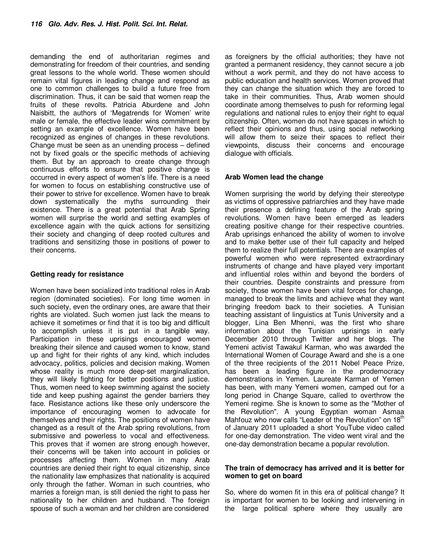demanding the end of authoritarian regimes and demonstrating for freedom of their countries, and sending great lessons to the whole world. These women should remain vital figures in leading change and respond as one to common challenges to build a future free from discrimination. Thus, it can be said that women reap the fruits of these revolts. Patricia Aburdene and John Naisbitt, the authors of 'Megatrends for Women' write male or female, the effective leader wins commitment by setting an example of excellence. Women have been recognized as engines of changes in these revolutions. Change must be seen as an unending process – defined not by fixed goals or the specific methods of achieving them. But by an approach to create change through continuous efforts to ensure that positive change is occurred in every aspect of women's life. There is a need for women to focus on establishing constructive use of their power to strive for excellence. Women have to break down systematically the myths surrounding their existence. There is a great potential that Arab Spring women will surprise the world and setting examples of excellence again with the quick actions for sensitizing their society and changing of deep rooted cultures and traditions and sensitizing those in positions of power to their concerns.

### **Getting ready for resistance**

Women have been socialized into traditional roles in Arab region (dominated societies). For long time women in such society, even the ordinary ones, are aware that their rights are violated. Such women just lack the means to achieve it sometimes or find that it is too big and difficult to accomplish unless it is put in a tangible way. Participation in these uprisings encouraged women breaking their silence and caused women to know, stand up and fight for their rights of any kind, which includes advocacy, politics, policies and decision making. Women whose reality is much more deep-set marginalization, they will likely fighting for better positions and justice. Thus, women need to keep swimming against the society tide and keep pushing against the gender barriers they face. Resistance actions like these only underscore the importance of encouraging women to advocate for themselves and their rights. The positions of women have changed as a result of the Arab spring revolutions, from submissive and powerless to vocal and effectiveness. This proves that if women are strong enough however, their concerns will be taken into account in policies or processes affecting them. Women in many Arab countries are denied their right to equal citizenship, since the nationality law emphasizes that nationality is acquired only through the father. Woman in such countries, who marries a foreign man, is still denied the right to pass her nationality to her children and husband. The foreign spouse of such a woman and her children are considered

as foreigners by the official authorities; they have not granted a permanent residency, they cannot secure a job without a work permit, and they do not have access to public education and health services. Women proved that they can change the situation which they are forced to take in their communities. Thus, Arab women should coordinate among themselves to push for reforming legal regulations and national rules to enjoy their right to equal citizenship. Often, women do not have spaces in which to reflect their opinions and thus, using social networking will allow them to seize their spaces to reflect their viewpoints, discuss their concerns and encourage dialogue with officials.

### **Arab Women lead the change**

Women surprising the world by defying their stereotype as victims of oppressive patriarchies and they have made their presence a defining feature of the Arab spring revolutions. Women have been emerged as leaders creating positive change for their respective countries. Arab uprisings enhanced the ability of women to involve and to make better use of their full capacity and helped them to realize their full potentials. There are examples of powerful women who were represented extraordinary instruments of change and have played very important and influential roles within and beyond the borders of their countries. Despite constraints and pressure from society, those women have been vital forces for change, managed to break the limits and achieve what they want bringing freedom back to their societies. A Tunisian teaching assistant of linguistics at Tunis University and a blogger, Lina Ben Mhenni, was the first who share information about the Tunisian uprisings in early December 2010 through Twitter and her blogs. The Yemeni activist Tawakul Karman, who was awarded the International Women of Courage Award and she is a one of the three recipients of the 2011 Nobel Peace Prize, has been a leading figure in the prodemocracy demonstrations in Yemen. Laureate Karman of Yemen has been, with many Yemeni women, camped out for a long period in Change Square, called to overthrow the Yemeni regime. She is known to some as the "Mother of the Revolution". A young Egyptian woman Asmaa Mahfouz who now calls "Leader of the Revolution" on 18<sup>th</sup> of January 2011 uploaded a short YouTube video called for one-day demonstration. The video went viral and the one-day demonstration became a popular revolution.

### **The train of democracy has arrived and it is better for women to get on board**

So, where do women fit in this era of political change? It is important for women to be looking and intervening in the large political sphere where they usually are